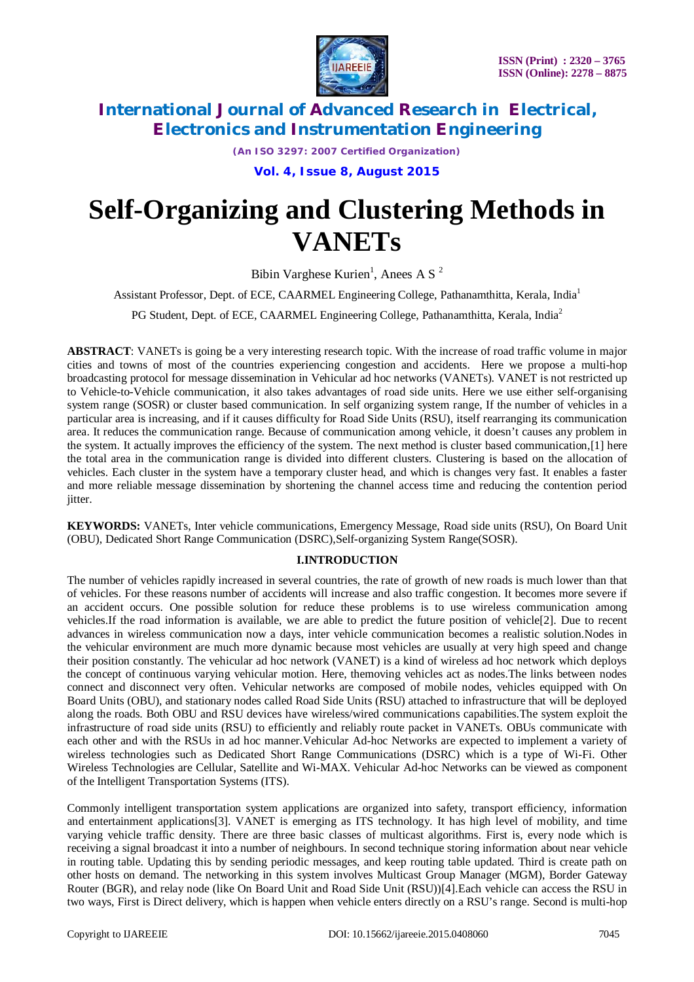

*(An ISO 3297: 2007 Certified Organization)*

**Vol. 4, Issue 8, August 2015**

# **Self-Organizing and Clustering Methods in VANETs**

Bibin Varghese Kurien<sup>1</sup>, Anees A S<sup>2</sup>

Assistant Professor, Dept. of ECE, CAARMEL Engineering College, Pathanamthitta, Kerala, India<sup>1</sup>

PG Student, Dept. of ECE, CAARMEL Engineering College, Pathanamthitta, Kerala, India<sup>2</sup>

**ABSTRACT**: VANETs is going be a very interesting research topic. With the increase of road traffic volume in major cities and towns of most of the countries experiencing congestion and accidents. Here we propose a multi-hop broadcasting protocol for message dissemination in Vehicular ad hoc networks (VANETs). VANET is not restricted up to Vehicle-to-Vehicle communication, it also takes advantages of road side units. Here we use either self-organising system range (SOSR) or cluster based communication. In self organizing system range, If the number of vehicles in a particular area is increasing, and if it causes difficulty for Road Side Units (RSU), itself rearranging its communication area. It reduces the communication range. Because of communication among vehicle, it doesn't causes any problem in the system. It actually improves the efficiency of the system. The next method is cluster based communication,[1] here the total area in the communication range is divided into different clusters. Clustering is based on the allocation of vehicles. Each cluster in the system have a temporary cluster head, and which is changes very fast. It enables a faster and more reliable message dissemination by shortening the channel access time and reducing the contention period jitter.

**KEYWORDS:** VANETs, Inter vehicle communications, Emergency Message, Road side units (RSU), On Board Unit (OBU), Dedicated Short Range Communication (DSRC),Self-organizing System Range(SOSR).

#### **I.INTRODUCTION**

The number of vehicles rapidly increased in several countries, the rate of growth of new roads is much lower than that of vehicles. For these reasons number of accidents will increase and also traffic congestion. It becomes more severe if an accident occurs. One possible solution for reduce these problems is to use wireless communication among vehicles.If the road information is available, we are able to predict the future position of vehicle[2]. Due to recent advances in wireless communication now a days, inter vehicle communication becomes a realistic solution.Nodes in the vehicular environment are much more dynamic because most vehicles are usually at very high speed and change their position constantly. The vehicular ad hoc network (VANET) is a kind of wireless ad hoc network which deploys the concept of continuous varying vehicular motion. Here, themoving vehicles act as nodes.The links between nodes connect and disconnect very often. Vehicular networks are composed of mobile nodes, vehicles equipped with On Board Units (OBU), and stationary nodes called Road Side Units (RSU) attached to infrastructure that will be deployed along the roads. Both OBU and RSU devices have wireless/wired communications capabilities.The system exploit the infrastructure of road side units (RSU) to efficiently and reliably route packet in VANETs. OBUs communicate with each other and with the RSUs in ad hoc manner.Vehicular Ad-hoc Networks are expected to implement a variety of wireless technologies such as Dedicated Short Range Communications (DSRC) which is a type of Wi-Fi. Other Wireless Technologies are Cellular, Satellite and Wi-MAX. Vehicular Ad-hoc Networks can be viewed as component of the Intelligent Transportation Systems (ITS).

Commonly intelligent transportation system applications are organized into safety, transport efficiency, information and entertainment applications[3]. VANET is emerging as ITS technology. It has high level of mobility, and time varying vehicle traffic density. There are three basic classes of multicast algorithms. First is, every node which is receiving a signal broadcast it into a number of neighbours. In second technique storing information about near vehicle in routing table. Updating this by sending periodic messages, and keep routing table updated. Third is create path on other hosts on demand. The networking in this system involves Multicast Group Manager (MGM), Border Gateway Router (BGR), and relay node (like On Board Unit and Road Side Unit (RSU))[4].Each vehicle can access the RSU in two ways, First is Direct delivery, which is happen when vehicle enters directly on a RSU's range. Second is multi-hop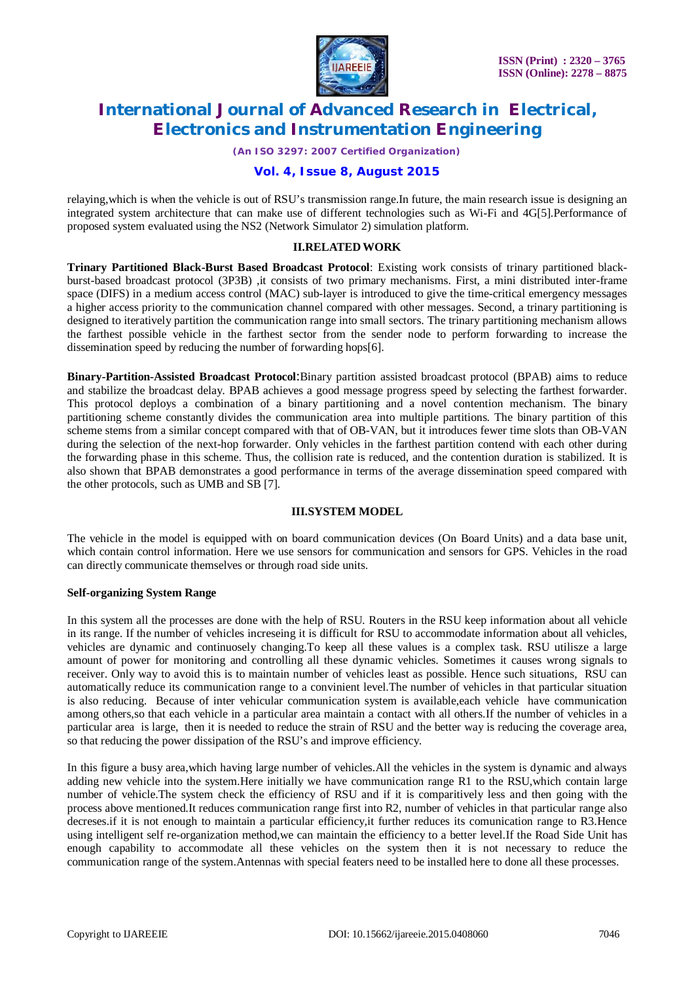

*(An ISO 3297: 2007 Certified Organization)*

### **Vol. 4, Issue 8, August 2015**

relaying,which is when the vehicle is out of RSU's transmission range.In future, the main research issue is designing an integrated system architecture that can make use of different technologies such as Wi-Fi and 4G[5].Performance of proposed system evaluated using the NS2 (Network Simulator 2) simulation platform.

#### **II.RELATEDWORK**

**Trinary Partitioned Black-Burst Based Broadcast Protocol**: Existing work consists of trinary partitioned blackburst-based broadcast protocol (3P3B) ,it consists of two primary mechanisms. First, a mini distributed inter-frame space (DIFS) in a medium access control (MAC) sub-layer is introduced to give the time-critical emergency messages a higher access priority to the communication channel compared with other messages. Second, a trinary partitioning is designed to iteratively partition the communication range into small sectors. The trinary partitioning mechanism allows the farthest possible vehicle in the farthest sector from the sender node to perform forwarding to increase the dissemination speed by reducing the number of forwarding hops[6].

**Binary-Partition-Assisted Broadcast Protocol**:Binary partition assisted broadcast protocol (BPAB) aims to reduce and stabilize the broadcast delay. BPAB achieves a good message progress speed by selecting the farthest forwarder. This protocol deploys a combination of a binary partitioning and a novel contention mechanism. The binary partitioning scheme constantly divides the communication area into multiple partitions. The binary partition of this scheme stems from a similar concept compared with that of OB-VAN, but it introduces fewer time slots than OB-VAN during the selection of the next-hop forwarder. Only vehicles in the farthest partition contend with each other during the forwarding phase in this scheme. Thus, the collision rate is reduced, and the contention duration is stabilized. It is also shown that BPAB demonstrates a good performance in terms of the average dissemination speed compared with the other protocols, such as UMB and SB [7].

#### **III.SYSTEM MODEL**

The vehicle in the model is equipped with on board communication devices (On Board Units) and a data base unit, which contain control information. Here we use sensors for communication and sensors for GPS. Vehicles in the road can directly communicate themselves or through road side units.

#### **Self-organizing System Range**

In this system all the processes are done with the help of RSU. Routers in the RSU keep information about all vehicle in its range. If the number of vehicles increseing it is difficult for RSU to accommodate information about all vehicles, vehicles are dynamic and continuosely changing.To keep all these values is a complex task. RSU utilisze a large amount of power for monitoring and controlling all these dynamic vehicles. Sometimes it causes wrong signals to receiver. Only way to avoid this is to maintain number of vehicles least as possible. Hence such situations, RSU can automatically reduce its communication range to a convinient level.The number of vehicles in that particular situation is also reducing. Because of inter vehicular communication system is available,each vehicle have communication among others,so that each vehicle in a particular area maintain a contact with all others.If the number of vehicles in a particular area is large, then it is needed to reduce the strain of RSU and the better way is reducing the coverage area, so that reducing the power dissipation of the RSU's and improve efficiency.

In this figure a busy area,which having large number of vehicles.All the vehicles in the system is dynamic and always adding new vehicle into the system.Here initially we have communication range R1 to the RSU,which contain large number of vehicle.The system check the efficiency of RSU and if it is comparitively less and then going with the process above mentioned.It reduces communication range first into R2, number of vehicles in that particular range also decreses.if it is not enough to maintain a particular efficiency,it further reduces its comunication range to R3.Hence using intelligent self re-organization method,we can maintain the efficiency to a better level.If the Road Side Unit has enough capability to accommodate all these vehicles on the system then it is not necessary to reduce the communication range of the system.Antennas with special featers need to be installed here to done all these processes.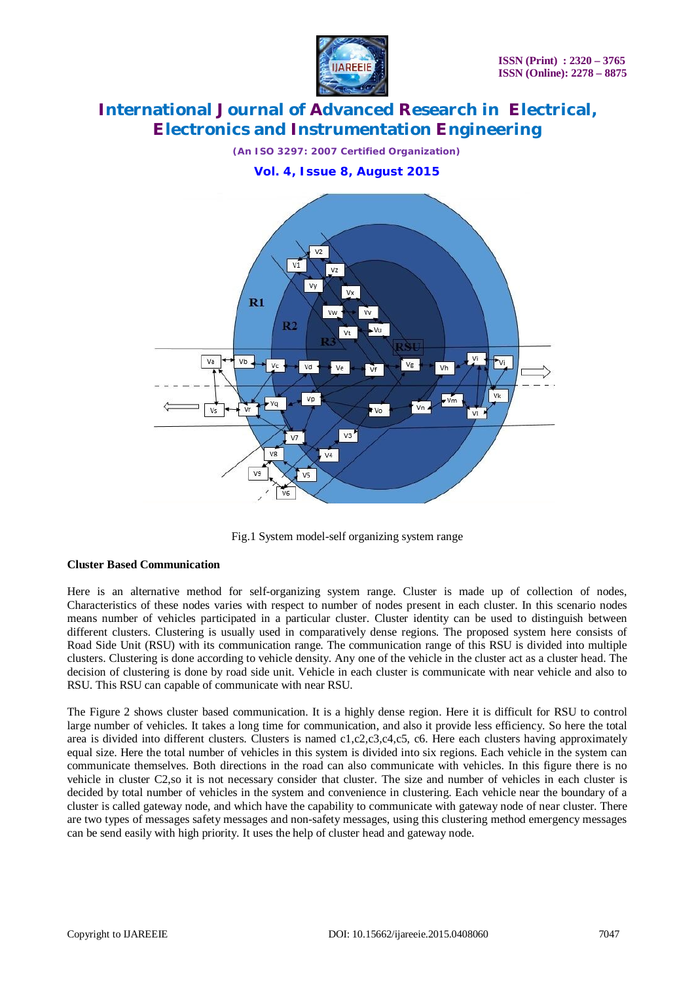



Fig.1 System model-self organizing system range

### **Cluster Based Communication**

Here is an alternative method for self-organizing system range. Cluster is made up of collection of nodes, Characteristics of these nodes varies with respect to number of nodes present in each cluster. In this scenario nodes means number of vehicles participated in a particular cluster. Cluster identity can be used to distinguish between different clusters. Clustering is usually used in comparatively dense regions. The proposed system here consists of Road Side Unit (RSU) with its communication range. The communication range of this RSU is divided into multiple clusters. Clustering is done according to vehicle density. Any one of the vehicle in the cluster act as a cluster head. The decision of clustering is done by road side unit. Vehicle in each cluster is communicate with near vehicle and also to RSU. This RSU can capable of communicate with near RSU.

The Figure 2 shows cluster based communication. It is a highly dense region. Here it is difficult for RSU to control large number of vehicles. It takes a long time for communication, and also it provide less efficiency. So here the total area is divided into different clusters. Clusters is named  $c1,c2,c3,c4,c5$ , c6. Here each clusters having approximately equal size. Here the total number of vehicles in this system is divided into six regions. Each vehicle in the system can communicate themselves. Both directions in the road can also communicate with vehicles. In this figure there is no vehicle in cluster C2,so it is not necessary consider that cluster. The size and number of vehicles in each cluster is decided by total number of vehicles in the system and convenience in clustering. Each vehicle near the boundary of a cluster is called gateway node, and which have the capability to communicate with gateway node of near cluster. There are two types of messages safety messages and non-safety messages, using this clustering method emergency messages can be send easily with high priority. It uses the help of cluster head and gateway node.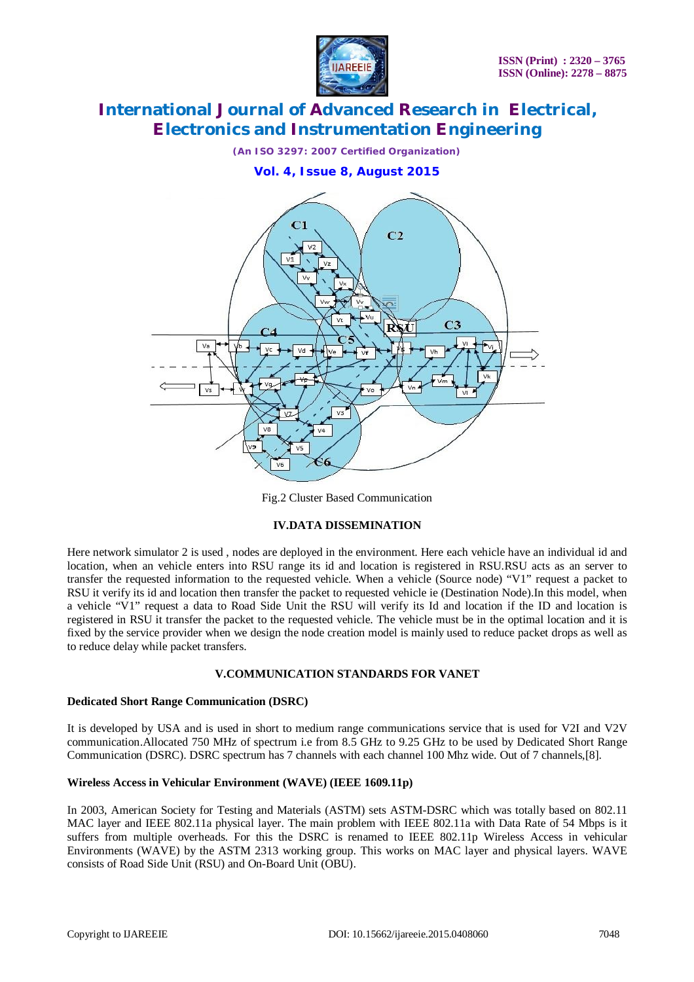



Fig.2 Cluster Based Communication

#### **IV.DATA DISSEMINATION**

Here network simulator 2 is used , nodes are deployed in the environment. Here each vehicle have an individual id and location, when an vehicle enters into RSU range its id and location is registered in RSU.RSU acts as an server to transfer the requested information to the requested vehicle. When a vehicle (Source node) "V1" request a packet to RSU it verify its id and location then transfer the packet to requested vehicle ie (Destination Node).In this model, when a vehicle "V1" request a data to Road Side Unit the RSU will verify its Id and location if the ID and location is registered in RSU it transfer the packet to the requested vehicle. The vehicle must be in the optimal location and it is fixed by the service provider when we design the node creation model is mainly used to reduce packet drops as well as to reduce delay while packet transfers.

#### **V.COMMUNICATION STANDARDS FOR VANET**

#### **Dedicated Short Range Communication (DSRC)**

It is developed by USA and is used in short to medium range communications service that is used for V2I and V2V communication.Allocated 750 MHz of spectrum i.e from 8.5 GHz to 9.25 GHz to be used by Dedicated Short Range Communication (DSRC). DSRC spectrum has 7 channels with each channel 100 Mhz wide. Out of 7 channels,[8].

#### **Wireless Access in Vehicular Environment (WAVE) (IEEE 1609.11p)**

In 2003, American Society for Testing and Materials (ASTM) sets ASTM-DSRC which was totally based on 802.11 MAC layer and IEEE 802.11a physical layer. The main problem with IEEE 802.11a with Data Rate of 54 Mbps is it suffers from multiple overheads. For this the DSRC is renamed to IEEE 802.11p Wireless Access in vehicular Environments (WAVE) by the ASTM 2313 working group. This works on MAC layer and physical layers. WAVE consists of Road Side Unit (RSU) and On-Board Unit (OBU).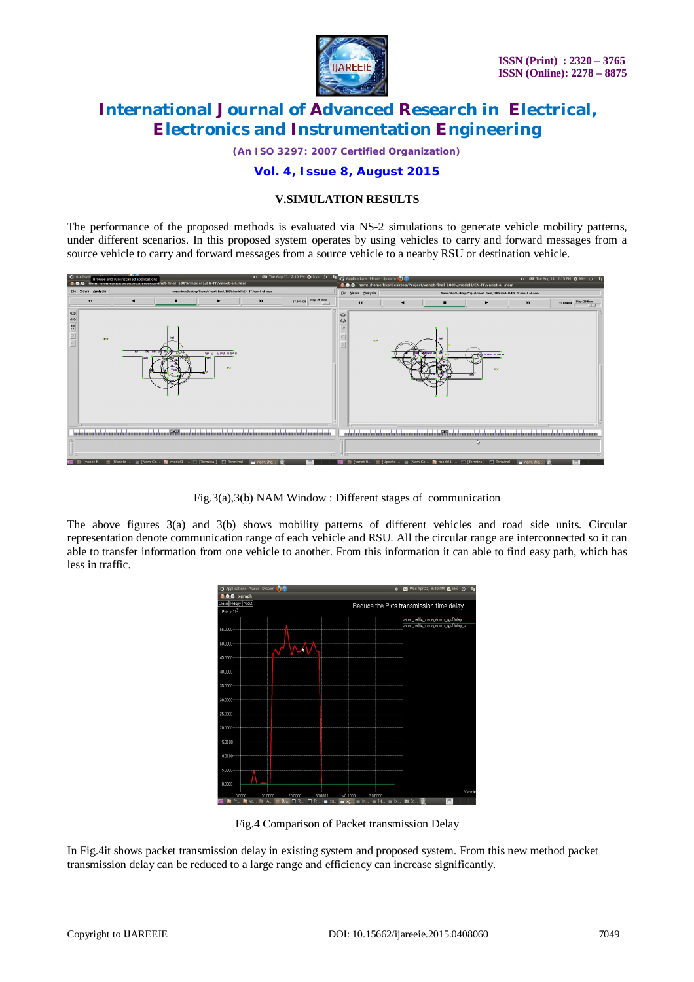

*(An ISO 3297: 2007 Certified Organization)*

### **Vol. 4, Issue 8, August 2015**

#### **V.SIMULATION RESULTS**

The performance of the proposed methods is evaluated via NS-2 simulations to generate vehicle mobility patterns, under different scenarios. In this proposed system operates by using vehicles to carry and forward messages from a source vehicle to carry and forward messages from a source vehicle to a nearby RSU or destination vehicle.



Fig.3(a),3(b) NAM Window : Different stages of communication

The above figures 3(a) and 3(b) shows mobility patterns of different vehicles and road side units. Circular representation denote communication range of each vehicle and RSU. All the circular range are interconnected so it can able to transfer information from one vehicle to another. From this information it can able to find easy path, which has less in traffic.



Fig.4 Comparison of Packet transmission Delay

In Fig.4it shows packet transmission delay in existing system and proposed system. From this new method packet transmission delay can be reduced to a large range and efficiency can increase significantly.